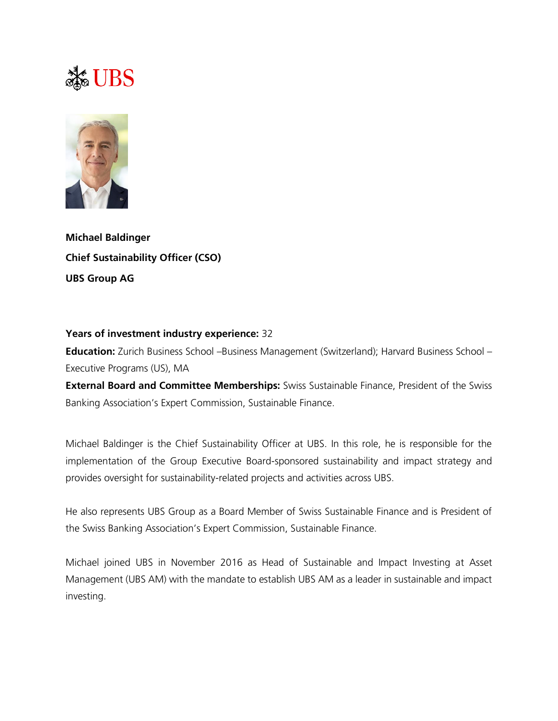## S UBS



**Michael Baldinger Chief Sustainability Officer (CSO) UBS Group AG**

## **Years of investment industry experience:** 32

**Education:** Zurich Business School –Business Management (Switzerland); Harvard Business School – Executive Programs (US), MA

**External Board and Committee Memberships:** Swiss Sustainable Finance, President of the Swiss Banking Association's Expert Commission, Sustainable Finance.

Michael Baldinger is the Chief Sustainability Officer at UBS. In this role, he is responsible for the implementation of the Group Executive Board-sponsored sustainability and impact strategy and provides oversight for sustainability-related projects and activities across UBS.

He also represents UBS Group as a Board Member of Swiss Sustainable Finance and is President of the Swiss Banking Association's Expert Commission, Sustainable Finance.

Michael joined UBS in November 2016 as Head of Sustainable and Impact Investing at Asset Management (UBS AM) with the mandate to establish UBS AM as a leader in sustainable and impact investing.